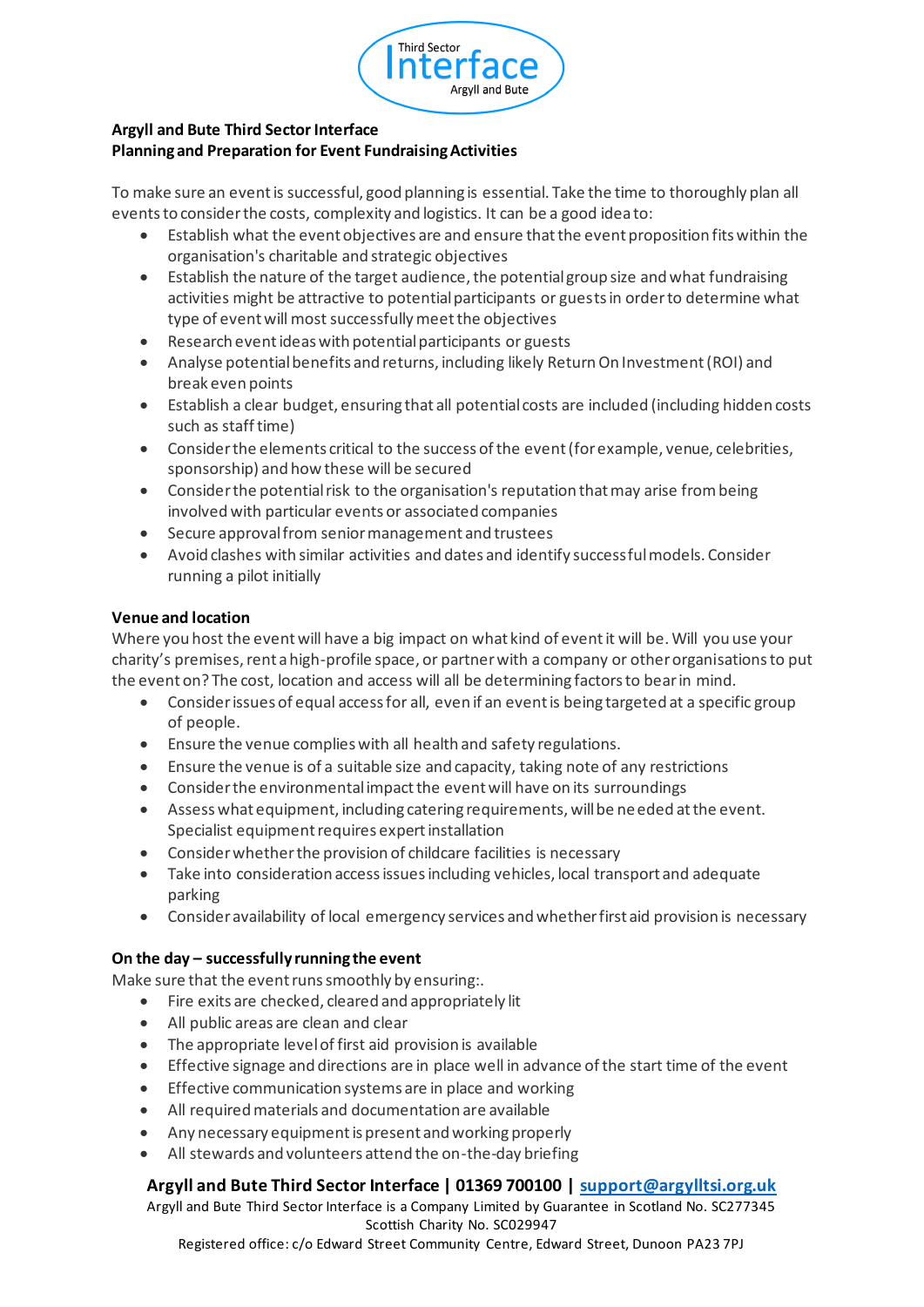

## **Argyll and Bute Third Sector Interface Planning and Preparation for Event Fundraising Activities**

To make sure an event is successful, good planning is essential. Take the time to thoroughly plan all events to consider the costs, complexity and logistics. It can be a good idea to:

- Establish what the event objectives are and ensure that the event proposition fits within the organisation's charitable and strategic objectives
- Establish the nature of the target audience, the potential group size and what fundraising activities might be attractive to potential participants or guests in order to determine what type of event will most successfully meet the objectives
- Research event ideas with potential participants or guests
- Analyse potential benefits and returns, including likely Return On Investment (ROI) and break even points
- Establish a clear budget, ensuring that all potential costs are included (including hidden costs such as staff time)
- Consider the elements critical to the success of the event (for example, venue, celebrities, sponsorship) and how these will be secured
- Consider the potential risk to the organisation's reputation that may arise from being involved with particular events or associated companies
- Secure approval from senior management and trustees
- Avoid clashes with similar activities and dates and identify successful models. Consider running a pilot initially

## **Venue and location**

Where you host the event will have a big impact on what kind of event it will be. Will you use your charity's premises, rent a high-profile space, or partner with a company or other organisations to put the event on? The cost, location and access will all be determining factors to bear in mind.

- Consider issues of equal access for all, even if an event is being targeted at a specific group of people.
- Ensure the venue complies with all health and safety regulations.
- Ensure the venue is of a suitable size and capacity, taking note of any restrictions
- Consider the environmental impact the event will have on its surroundings
- Assess what equipment, including catering requirements, will be needed at the event. Specialist equipment requires expert installation
- Consider whether the provision of childcare facilities is necessary
- Take into consideration access issues including vehicles, local transport and adequate parking
- Consider availability of local emergency services and whether first aid provision is necessary

## **On the day – successfully running the event**

Make sure that the event runs smoothly by ensuring:.

- Fire exits are checked, cleared and appropriately lit
- All public areas are clean and clear
- The appropriate level of first aid provision is available
- Effective signage and directions are in place well in advance of the start time of the event
- Effective communication systems are in place and working
- All required materials and documentation are available
- Any necessary equipment is present and working properly
- All stewards and volunteers attend the on-the-day briefing

# **Argyll and Bute Third Sector Interface | 01369 700100 | support@argylltsi.org.uk**

Argyll and Bute Third Sector Interface is a Company Limited by Guarantee in Scotland No. SC277345 Scottish Charity No. SC029947

Registered office: c/o Edward Street Community Centre, Edward Street, Dunoon PA23 7PJ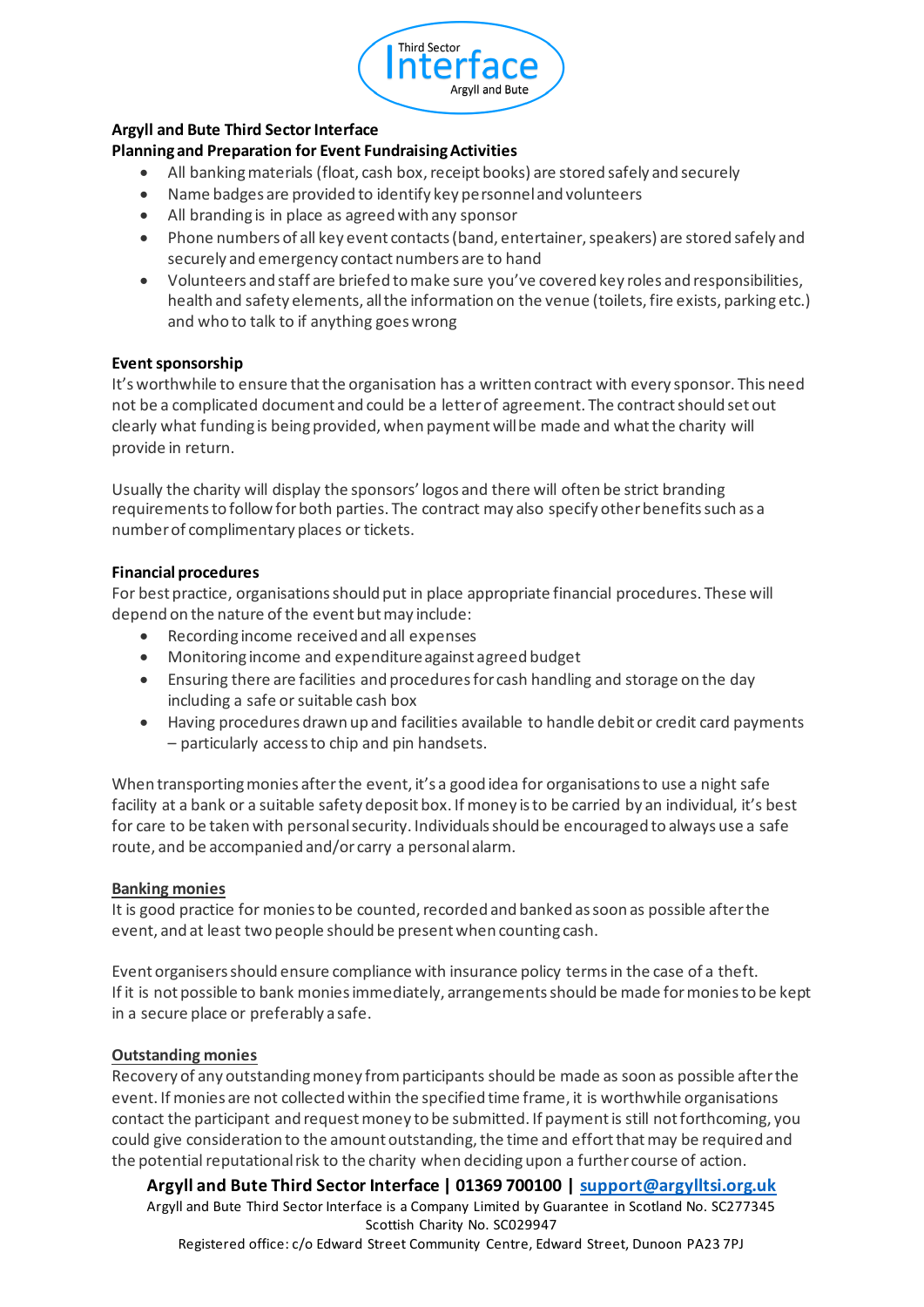

## **Argyll and Bute Third Sector Interface**

## **Planning and Preparation for Event Fundraising Activities**

- All banking materials (float, cash box, receipt books) are stored safely and securely
- Name badges are provided to identify key personnel and volunteers
- All branding is in place as agreed with any sponsor
- Phone numbers of all key event contacts (band, entertainer, speakers) are stored safely and securely and emergency contact numbers are to hand
- Volunteers and staff are briefed to make sure you've covered key roles and responsibilities, health and safety elements, all the information on the venue (toilets, fire exists, parking etc.) and who to talk to if anything goes wrong

## **Event sponsorship**

It's worthwhile to ensure that the organisation has a written contract with every sponsor. This need not be a complicated document and could be a letter of agreement. The contract should set out clearly what funding is being provided, when payment will be made and what the charity will provide in return.

Usually the charity will display the sponsors' logos and there will often be strict branding requirements to follow for both parties. The contract may also specify other benefits such as a number of complimentary places or tickets.

#### **Financial procedures**

For best practice, organisations should put in place appropriate financial procedures. These will depend on the nature of the event but may include:

- Recording income received and all expenses
- Monitoring income and expenditure against agreed budget
- Ensuring there are facilities and procedures for cash handling and storage on the day including a safe or suitable cash box
- Having procedures drawn up and facilities available to handle debit or credit card payments – particularly access to chip and pin handsets.

When transporting monies after the event, it's a good idea for organisations to use a night safe facility at a bank or a suitable safety deposit box. If money is to be carried by an individual, it's best for care to be taken with personal security. Individuals should be encouraged to always use a safe route, and be accompanied and/or carry a personal alarm.

#### **Banking monies**

It is good practice for monies to be counted, recorded and banked as soon as possible after the event, and at least two people should be present when counting cash.

Event organisers should ensure compliance with insurance policy terms in the case of a theft. If it is not possible to bank monies immediately, arrangements should be made for monies to be kept in a secure place or preferably a safe.

#### **Outstanding monies**

Recovery of any outstanding money from participants should be made as soon as possible after the event. If monies are not collected within the specified time frame, it is worthwhile organisations contact the participant and request money to be submitted. If payment is still not forthcoming, you could give consideration to the amount outstanding, the time and effort that may be required and the potential reputational risk to the charity when deciding upon a further course of action.

**Argyll and Bute Third Sector Interface | 01369 700100 | support@argylltsi.org.uk** Argyll and Bute Third Sector Interface is a Company Limited by Guarantee in Scotland No. SC277345 Scottish Charity No. SC029947 Registered office: c/o Edward Street Community Centre, Edward Street, Dunoon PA23 7PJ